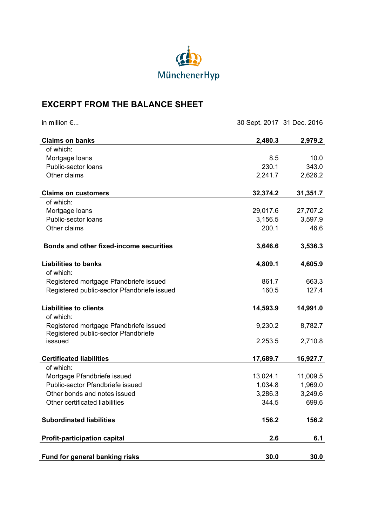

## **EXCERPT FROM THE BALANCE SHEET**

| in million $\epsilon$                       | 30 Sept. 2017 31 Dec. 2016 |          |
|---------------------------------------------|----------------------------|----------|
| <b>Claims on banks</b>                      | 2,480.3                    | 2,979.2  |
| of which:                                   |                            |          |
| Mortgage loans                              | 8.5                        | 10.0     |
| Public-sector loans                         | 230.1                      | 343.0    |
| Other claims                                | 2,241.7                    | 2,626.2  |
| <b>Claims on customers</b>                  | 32,374.2                   | 31,351.7 |
| of which:                                   |                            |          |
| Mortgage loans                              | 29,017.6                   | 27,707.2 |
| Public-sector loans                         | 3,156.5                    | 3,597.9  |
| Other claims                                | 200.1                      | 46.6     |
| Bonds and other fixed-income securities     | 3,646.6                    | 3,536.3  |
| <b>Liabilities to banks</b>                 | 4,809.1                    | 4,605.9  |
| of which:                                   |                            |          |
| Registered mortgage Pfandbriefe issued      | 861.7                      | 663.3    |
| Registered public-sector Pfandbriefe issued | 160.5                      | 127.4    |
|                                             |                            |          |
| <b>Liabilities to clients</b>               | 14,593.9                   | 14,991.0 |
| of which:                                   |                            |          |
| Registered mortgage Pfandbriefe issued      | 9,230.2                    | 8,782.7  |
| Registered public-sector Pfandbriefe        |                            |          |
| isssued                                     | 2,253.5                    | 2,710.8  |
| <b>Certificated liabilities</b>             | 17,689.7                   | 16,927.7 |
| of which:                                   |                            |          |
| Mortgage Pfandbriefe issued                 | 13,024.1                   | 11,009.5 |
| Public-sector Pfandbriefe issued            | 1,034.8                    | 1,969.0  |
| Other bonds and notes issued                | 3,286.3                    | 3,249.6  |
| Other certificated liabilities              | 344.5                      | 699.6    |
| <b>Subordinated liabilities</b>             | 156.2                      | 156.2    |
| <b>Profit-participation capital</b>         | 2.6                        | 6.1      |
|                                             |                            |          |
| Fund for general banking risks              | 30.0                       | 30.0     |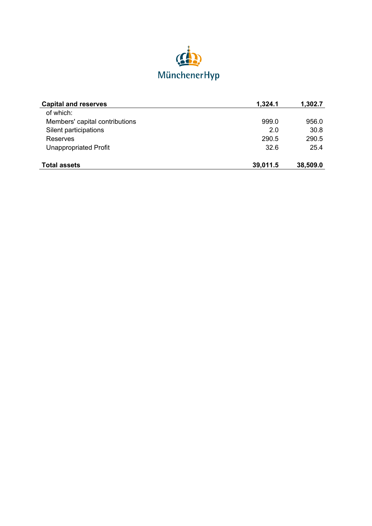

| <b>Capital and reserves</b>    | 1,324.1  | 1,302.7  |
|--------------------------------|----------|----------|
| of which:                      |          |          |
| Members' capital contributions | 999.0    | 956.0    |
| Silent participations          | 2.0      | 30.8     |
| Reserves                       | 290.5    | 290.5    |
| <b>Unappropriated Profit</b>   | 32.6     | 25.4     |
| <b>Total assets</b>            | 39,011.5 | 38,509.0 |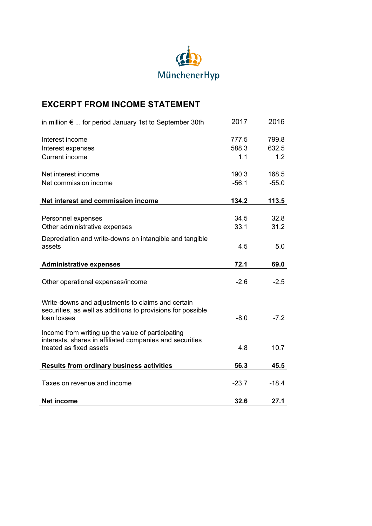

## **EXCERPT FROM INCOME STATEMENT**

| in million $\epsilon$ for period January 1st to September 30th                                                                           | 2017    | 2016    |
|------------------------------------------------------------------------------------------------------------------------------------------|---------|---------|
| Interest income                                                                                                                          | 777.5   | 799.8   |
| Interest expenses                                                                                                                        | 588.3   | 632.5   |
| <b>Current income</b>                                                                                                                    | 1.1     | 1.2     |
|                                                                                                                                          |         |         |
| Net interest income                                                                                                                      | 190.3   | 168.5   |
| Net commission income                                                                                                                    | $-56.1$ | $-55.0$ |
| Net interest and commission income                                                                                                       | 134.2   | 113.5   |
|                                                                                                                                          |         |         |
| Personnel expenses                                                                                                                       | 34,5    | 32.8    |
| Other administrative expenses                                                                                                            | 33.1    | 31.2    |
|                                                                                                                                          |         |         |
| Depreciation and write-downs on intangible and tangible                                                                                  |         |         |
| assets                                                                                                                                   | 4.5     | 5.0     |
|                                                                                                                                          |         |         |
| <b>Administrative expenses</b>                                                                                                           | 72.1    | 69.0    |
| Other operational expenses/income                                                                                                        | $-2.6$  | $-2.5$  |
| Write-downs and adjustments to claims and certain<br>securities, as well as additions to provisions for possible<br>loan losses          | $-8.0$  | $-7.2$  |
| Income from writing up the value of participating<br>interests, shares in affiliated companies and securities<br>treated as fixed assets | 4.8     | 10.7    |
| <b>Results from ordinary business activities</b>                                                                                         | 56.3    | 45.5    |
| Taxes on revenue and income                                                                                                              | $-23.7$ | $-18.4$ |
| <b>Net income</b>                                                                                                                        | 32.6    | 27.1    |